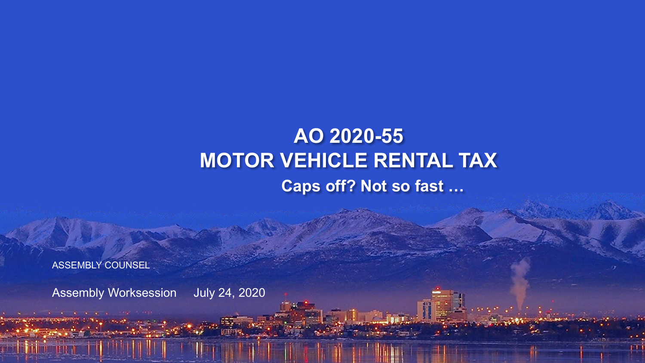### **AO 2020-55 MOTOR VEHICLE RENTAL TAX Caps off? Not so fast …**

ASSEMBLY COUNSEL

Assembly Worksession July 24, 2020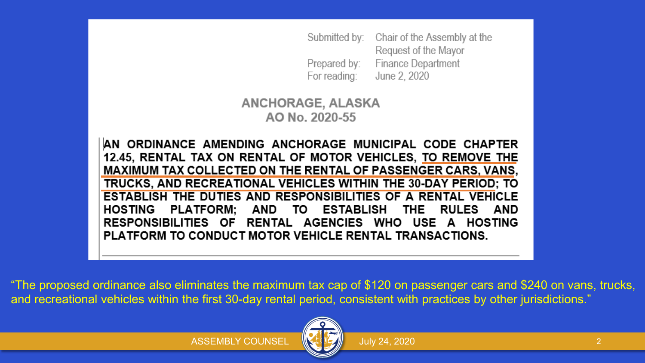Submitted by: Chair of the Assembly at the Request of the Mayor Finance Department Prepared by: For reading: June 2, 2020

**ANCHORAGE, ALASKA** AO No. 2020-55

AN ORDINANCE AMENDING ANCHORAGE MUNICIPAL CODE CHAPTER 12.45, RENTAL TAX ON RENTAL OF MOTOR VEHICLES, TO REMOVE THE **MAXIMUM TAX COLLECTED ON THE RENTAL OF PASSENGER CARS, VANS,** TRUCKS, AND RECREATIONAL VEHICLES WITHIN THE 30-DAY PERIOD; TO **ESTABLISH THE DUTIES AND RESPONSIBILITIES OF A RENTAL VEHICLE HOSTING** PLATFORM: AND TO ESTABLISH THE **RULES** AND RESPONSIBILITIES OF RENTAL AGENCIES WHO USE A HOSTING PLATFORM TO CONDUCT MOTOR VEHICLE RENTAL TRANSACTIONS.

"The proposed ordinance also eliminates the maximum tax cap of \$120 on passenger cars and \$240 on vans, trucks, and recreational vehicles within the first 30-day rental period, consistent with practices by other jurisdictions."

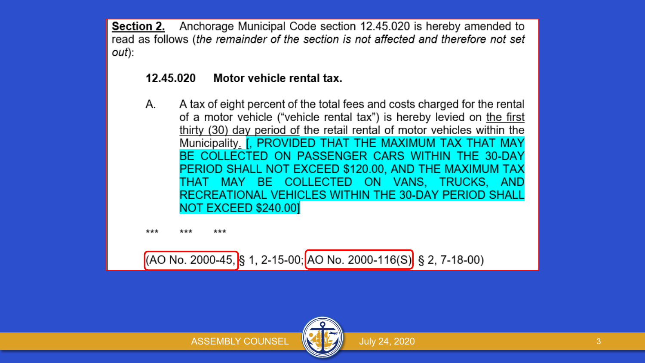**Section 2.** Anchorage Municipal Code section 12.45.020 is hereby amended to read as follows (the remainder of the section is not affected and therefore not set out):

#### Motor vehicle rental tax. 12.45.020

А. A tax of eight percent of the total fees and costs charged for the rental of a motor vehicle ("vehicle rental tax") is hereby levied on the first thirty (30) day period of the retail rental of motor vehicles within the Municipality. [, PROVIDED THAT THE MAXIMUM TAX THAT MAY BE COLLECTED ON PASSENGER CARS WITHIN THE 30-DAY PERIOD SHALL NOT EXCEED \$120.00, AND THE MAXIMUM TAX THAT MAY BE COLLECTED ON VANS, TRUCKS, AND RECREATIONAL VEHICLES WITHIN THE 30-DAY PERIOD SHALL NOT EXCEED \$240.00

\*\*\* \*\*\*

 $(AO No. 2000-45,$  § 1, 2-15-00; AO No. 2000-116(S) § 2, 7-18-00)

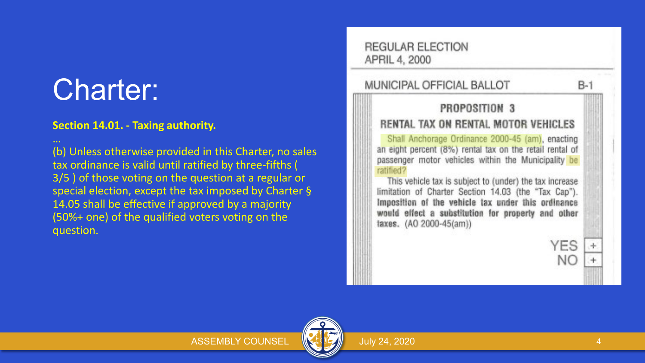## Charter:

#### **Section 14.01. - Taxing authority.**

(b) Unless otherwise provided in this Charter, no sales tax ordinance is valid until ratified by three-fifths ( 3/5 ) of those voting on the question at a regular or special election, except the tax imposed by Charter § 14.05 shall be effective if approved by a majority (50%+ one) of the qualified voters voting on the question.

**REGULAR ELECTION** APRIL 4, 2000 **MUNICIPAL OFFICIAL BALLOT**  $B-1$ PROPOSITION 3 RENTAL TAX ON RENTAL MOTOR VEHICLES Shall Anchorage Ordinance 2000-45 (am), enacting an eight percent (8%) rental tax on the retail rental of passenger motor vehicles within the Municipality be ratified? This vehicle tax is subject to (under) the tax increase limitation of Charter Section 14.03 (the "Tax Cap"). Imposition of the vehicle tax under this ordinance would effect a substitution for property and other taxes. (AO 2000-45(am)) YES NΟ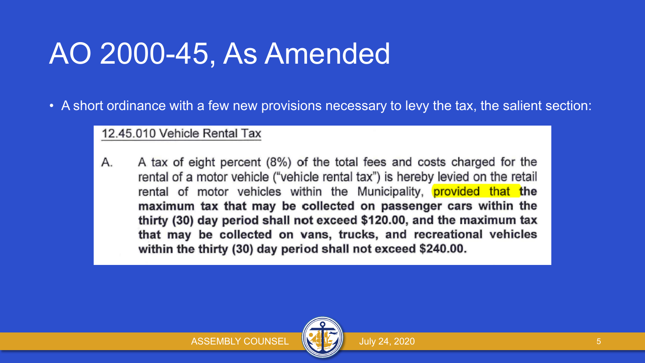## AO 2000-45, As Amended

• A short ordinance with a few new provisions necessary to levy the tax, the salient section:

### 12.45.010 Vehicle Rental Tax

A tax of eight percent (8%) of the total fees and costs charged for the А. rental of a motor vehicle ("vehicle rental tax") is hereby levied on the retail rental of motor vehicles within the Municipality, **provided that the** maximum tax that may be collected on passenger cars within the thirty (30) day period shall not exceed \$120.00, and the maximum tax that may be collected on vans, trucks, and recreational vehicles within the thirty (30) day period shall not exceed \$240.00.

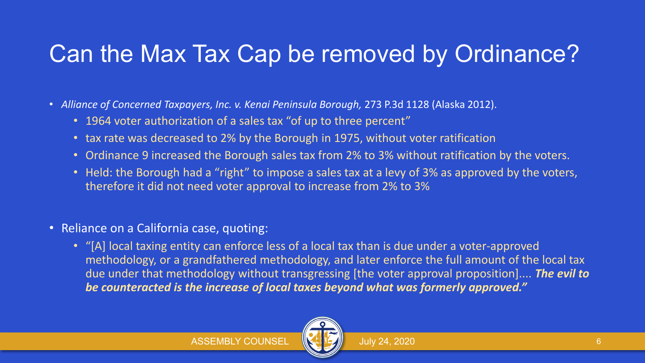## Can the Max Tax Cap be removed by Ordinance?

- *Alliance of Concerned Taxpayers, Inc. v. Kenai Peninsula Borough,* 273 P.3d 1128 (Alaska 2012).
	- 1964 voter authorization of a sales tax "of up to three percent"
	- tax rate was decreased to 2% by the Borough in 1975, without voter ratification
	- Ordinance 9 increased the Borough sales tax from 2% to 3% without ratification by the voters.
	- Held: the Borough had a "right" to impose a sales tax at a levy of 3% as approved by the voters, therefore it did not need voter approval to increase from 2% to 3%
- Reliance on a California case, quoting:
	- "[A] local taxing entity can enforce less of a local tax than is due under a voter-approved methodology, or a grandfathered methodology, and later enforce the full amount of the local tax due under that methodology without transgressing [the voter approval proposition].... *The evil to be counteracted is the increase of local taxes beyond what was formerly approved."*